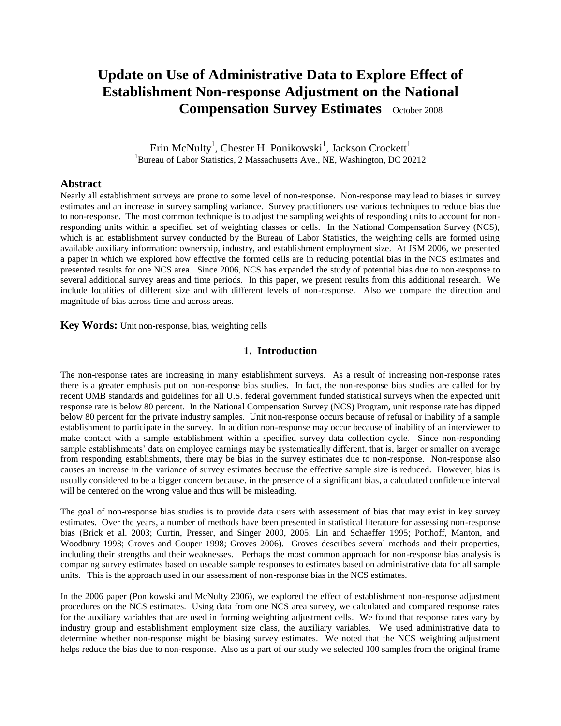# **Update on Use of Administrative Data to Explore Effect of Establishment Non-response Adjustment on the National Compensation Survey Estimates** October 2008

Erin McNulty<sup>1</sup>, Chester H. Ponikowski<sup>1</sup>, Jackson Crockett<sup>1</sup> <sup>1</sup>Bureau of Labor Statistics, 2 Massachusetts Ave., NE, Washington, DC 20212

#### **Abstract**

Nearly all establishment surveys are prone to some level of non-response. Non-response may lead to biases in survey estimates and an increase in survey sampling variance. Survey practitioners use various techniques to reduce bias due to non-response. The most common technique is to adjust the sampling weights of responding units to account for nonresponding units within a specified set of weighting classes or cells. In the National Compensation Survey (NCS), which is an establishment survey conducted by the Bureau of Labor Statistics, the weighting cells are formed using available auxiliary information: ownership, industry, and establishment employment size. At JSM 2006, we presented a paper in which we explored how effective the formed cells are in reducing potential bias in the NCS estimates and presented results for one NCS area. Since 2006, NCS has expanded the study of potential bias due to non-response to several additional survey areas and time periods. In this paper, we present results from this additional research. We include localities of different size and with different levels of non-response. Also we compare the direction and magnitude of bias across time and across areas.

**Key Words:** Unit non-response, bias, weighting cells

#### **1. Introduction**

The non-response rates are increasing in many establishment surveys. As a result of increasing non-response rates there is a greater emphasis put on non-response bias studies. In fact, the non-response bias studies are called for by recent OMB standards and guidelines for all U.S. federal government funded statistical surveys when the expected unit response rate is below 80 percent. In the National Compensation Survey (NCS) Program, unit response rate has dipped below 80 percent for the private industry samples. Unit non-response occurs because of refusal or inability of a sample establishment to participate in the survey. In addition non-response may occur because of inability of an interviewer to make contact with a sample establishment within a specified survey data collection cycle. Since non-responding sample establishments' data on employee earnings may be systematically different, that is, larger or smaller on average from responding establishments, there may be bias in the survey estimates due to non-response. Non-response also causes an increase in the variance of survey estimates because the effective sample size is reduced. However, bias is usually considered to be a bigger concern because, in the presence of a significant bias, a calculated confidence interval will be centered on the wrong value and thus will be misleading.

The goal of non-response bias studies is to provide data users with assessment of bias that may exist in key survey estimates. Over the years, a number of methods have been presented in statistical literature for assessing non-response bias (Brick et al. 2003; Curtin, Presser, and Singer 2000, 2005; Lin and Schaeffer 1995; Potthoff, Manton, and Woodbury 1993; Groves and Couper 1998; Groves 2006). Groves describes several methods and their properties, including their strengths and their weaknesses. Perhaps the most common approach for non-response bias analysis is comparing survey estimates based on useable sample responses to estimates based on administrative data for all sample units. This is the approach used in our assessment of non-response bias in the NCS estimates.

In the 2006 paper (Ponikowski and McNulty 2006), we explored the effect of establishment non-response adjustment procedures on the NCS estimates. Using data from one NCS area survey, we calculated and compared response rates for the auxiliary variables that are used in forming weighting adjustment cells. We found that response rates vary by industry group and establishment employment size class, the auxiliary variables. We used administrative data to determine whether non-response might be biasing survey estimates. We noted that the NCS weighting adjustment helps reduce the bias due to non-response. Also as a part of our study we selected 100 samples from the original frame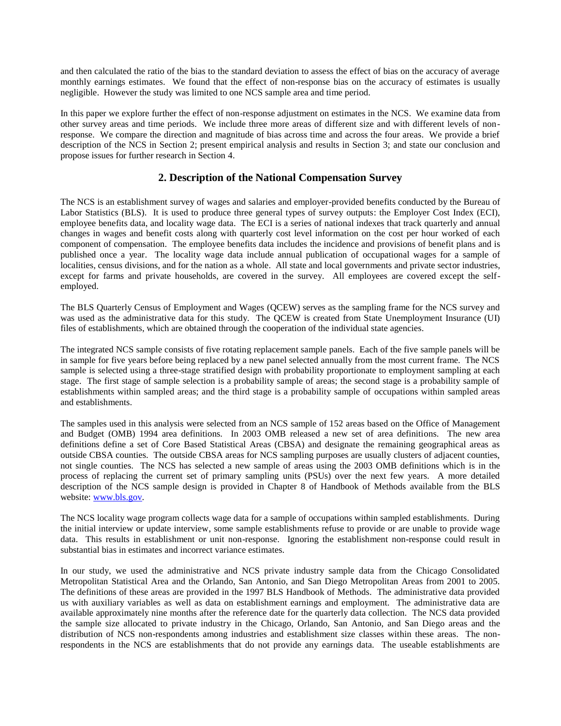and then calculated the ratio of the bias to the standard deviation to assess the effect of bias on the accuracy of average monthly earnings estimates. We found that the effect of non-response bias on the accuracy of estimates is usually negligible. However the study was limited to one NCS sample area and time period.

In this paper we explore further the effect of non-response adjustment on estimates in the NCS. We examine data from other survey areas and time periods. We include three more areas of different size and with different levels of nonresponse. We compare the direction and magnitude of bias across time and across the four areas. We provide a brief description of the NCS in Section 2; present empirical analysis and results in Section 3; and state our conclusion and propose issues for further research in Section 4.

### **2. Description of the National Compensation Survey**

The NCS is an establishment survey of wages and salaries and employer-provided benefits conducted by the Bureau of Labor Statistics (BLS). It is used to produce three general types of survey outputs: the Employer Cost Index (ECI), employee benefits data, and locality wage data. The ECI is a series of national indexes that track quarterly and annual changes in wages and benefit costs along with quarterly cost level information on the cost per hour worked of each component of compensation. The employee benefits data includes the incidence and provisions of benefit plans and is published once a year. The locality wage data include annual publication of occupational wages for a sample of localities, census divisions, and for the nation as a whole. All state and local governments and private sector industries, except for farms and private households, are covered in the survey. All employees are covered except the selfemployed.

The BLS Quarterly Census of Employment and Wages (QCEW) serves as the sampling frame for the NCS survey and was used as the administrative data for this study. The QCEW is created from State Unemployment Insurance (UI) files of establishments, which are obtained through the cooperation of the individual state agencies.

The integrated NCS sample consists of five rotating replacement sample panels. Each of the five sample panels will be in sample for five years before being replaced by a new panel selected annually from the most current frame. The NCS sample is selected using a three-stage stratified design with probability proportionate to employment sampling at each stage. The first stage of sample selection is a probability sample of areas; the second stage is a probability sample of establishments within sampled areas; and the third stage is a probability sample of occupations within sampled areas and establishments.

The samples used in this analysis were selected from an NCS sample of 152 areas based on the Office of Management and Budget (OMB) 1994 area definitions. In 2003 OMB released a new set of area definitions. The new area definitions define a set of Core Based Statistical Areas (CBSA) and designate the remaining geographical areas as outside CBSA counties. The outside CBSA areas for NCS sampling purposes are usually clusters of adjacent counties, not single counties. The NCS has selected a new sample of areas using the 2003 OMB definitions which is in the process of replacing the current set of primary sampling units (PSUs) over the next few years. A more detailed description of the NCS sample design is provided in Chapter 8 of Handbook of Methods available from the BLS website: www.bls.gov.

The NCS locality wage program collects wage data for a sample of occupations within sampled establishments. During the initial interview or update interview, some sample establishments refuse to provide or are unable to provide wage data. This results in establishment or unit non-response. Ignoring the establishment non-response could result in substantial bias in estimates and incorrect variance estimates.

In our study, we used the administrative and NCS private industry sample data from the Chicago Consolidated Metropolitan Statistical Area and the Orlando, San Antonio, and San Diego Metropolitan Areas from 2001 to 2005. The definitions of these areas are provided in the 1997 BLS Handbook of Methods. The administrative data provided us with auxiliary variables as well as data on establishment earnings and employment. The administrative data are available approximately nine months after the reference date for the quarterly data collection. The NCS data provided the sample size allocated to private industry in the Chicago, Orlando, San Antonio, and San Diego areas and the distribution of NCS non-respondents among industries and establishment size classes within these areas. The nonrespondents in the NCS are establishments that do not provide any earnings data. The useable establishments are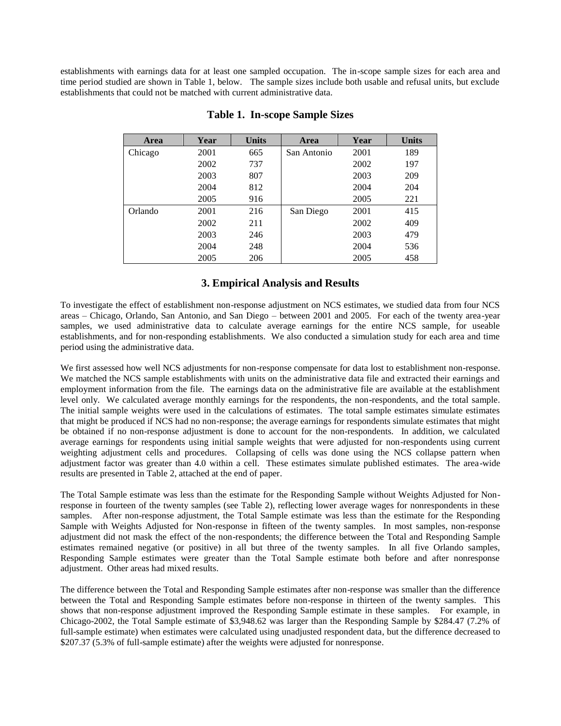establishments with earnings data for at least one sampled occupation. The in-scope sample sizes for each area and time period studied are shown in Table 1, below. The sample sizes include both usable and refusal units, but exclude establishments that could not be matched with current administrative data.

| Area    | Year | <b>Units</b> | Area        | Year | <b>Units</b> |
|---------|------|--------------|-------------|------|--------------|
| Chicago | 2001 | 665          | San Antonio | 2001 | 189          |
|         | 2002 | 737          |             | 2002 | 197          |
|         | 2003 | 807          |             | 2003 | 209          |
|         | 2004 | 812          |             | 2004 | 204          |
|         | 2005 | 916          |             | 2005 | 221          |
| Orlando | 2001 | 216          | San Diego   | 2001 | 415          |
|         | 2002 | 211          |             | 2002 | 409          |
|         | 2003 | 246          |             | 2003 | 479          |
|         | 2004 | 248          |             | 2004 | 536          |
|         | 2005 | 206          |             | 2005 | 458          |

#### **Table 1. In-scope Sample Sizes**

#### **3. Empirical Analysis and Results**

To investigate the effect of establishment non-response adjustment on NCS estimates, we studied data from four NCS areas – Chicago, Orlando, San Antonio, and San Diego – between 2001 and 2005. For each of the twenty area-year samples, we used administrative data to calculate average earnings for the entire NCS sample, for useable establishments, and for non-responding establishments. We also conducted a simulation study for each area and time period using the administrative data.

We first assessed how well NCS adjustments for non-response compensate for data lost to establishment non-response. We matched the NCS sample establishments with units on the administrative data file and extracted their earnings and employment information from the file. The earnings data on the administrative file are available at the establishment level only. We calculated average monthly earnings for the respondents, the non-respondents, and the total sample. The initial sample weights were used in the calculations of estimates. The total sample estimates simulate estimates that might be produced if NCS had no non-response; the average earnings for respondents simulate estimates that might be obtained if no non-response adjustment is done to account for the non-respondents. In addition, we calculated average earnings for respondents using initial sample weights that were adjusted for non-respondents using current weighting adjustment cells and procedures. Collapsing of cells was done using the NCS collapse pattern when adjustment factor was greater than 4.0 within a cell. These estimates simulate published estimates. The area-wide results are presented in Table 2, attached at the end of paper.

The Total Sample estimate was less than the estimate for the Responding Sample without Weights Adjusted for Nonresponse in fourteen of the twenty samples (see Table 2), reflecting lower average wages for nonrespondents in these samples. After non-response adjustment, the Total Sample estimate was less than the estimate for the Responding Sample with Weights Adjusted for Non-response in fifteen of the twenty samples. In most samples, non-response adjustment did not mask the effect of the non-respondents; the difference between the Total and Responding Sample estimates remained negative (or positive) in all but three of the twenty samples. In all five Orlando samples, Responding Sample estimates were greater than the Total Sample estimate both before and after nonresponse adjustment. Other areas had mixed results.

The difference between the Total and Responding Sample estimates after non-response was smaller than the difference between the Total and Responding Sample estimates before non-response in thirteen of the twenty samples. This shows that non-response adjustment improved the Responding Sample estimate in these samples. For example, in Chicago-2002, the Total Sample estimate of \$3,948.62 was larger than the Responding Sample by \$284.47 (7.2% of full-sample estimate) when estimates were calculated using unadjusted respondent data, but the difference decreased to \$207.37 (5.3% of full-sample estimate) after the weights were adjusted for nonresponse.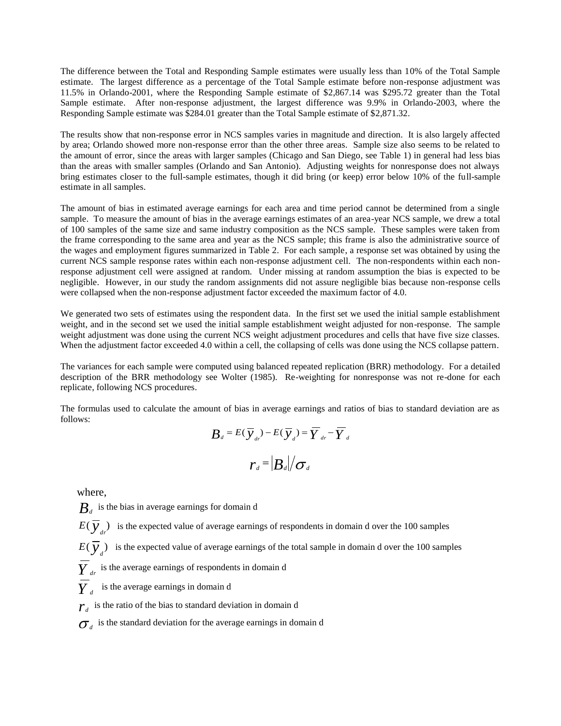The difference between the Total and Responding Sample estimates were usually less than 10% of the Total Sample estimate. The largest difference as a percentage of the Total Sample estimate before non-response adjustment was 11.5% in Orlando-2001, where the Responding Sample estimate of \$2,867.14 was \$295.72 greater than the Total Sample estimate. After non-response adjustment, the largest difference was 9.9% in Orlando-2003, where the Responding Sample estimate was \$284.01 greater than the Total Sample estimate of \$2,871.32.

The results show that non-response error in NCS samples varies in magnitude and direction. It is also largely affected by area; Orlando showed more non-response error than the other three areas. Sample size also seems to be related to the amount of error, since the areas with larger samples (Chicago and San Diego, see Table 1) in general had less bias than the areas with smaller samples (Orlando and San Antonio). Adjusting weights for nonresponse does not always bring estimates closer to the full-sample estimates, though it did bring (or keep) error below 10% of the full-sample estimate in all samples.

The amount of bias in estimated average earnings for each area and time period cannot be determined from a single sample. To measure the amount of bias in the average earnings estimates of an area-year NCS sample, we drew a total of 100 samples of the same size and same industry composition as the NCS sample. These samples were taken from the frame corresponding to the same area and year as the NCS sample; this frame is also the administrative source of the wages and employment figures summarized in Table 2. For each sample, a response set was obtained by using the current NCS sample response rates within each non-response adjustment cell. The non-respondents within each nonresponse adjustment cell were assigned at random. Under missing at random assumption the bias is expected to be negligible. However, in our study the random assignments did not assure negligible bias because non-response cells were collapsed when the non-response adjustment factor exceeded the maximum factor of 4.0.

We generated two sets of estimates using the respondent data. In the first set we used the initial sample establishment weight, and in the second set we used the initial sample establishment weight adjusted for non-response. The sample weight adjustment was done using the current NCS weight adjustment procedures and cells that have five size classes. When the adjustment factor exceeded 4.0 within a cell, the collapsing of cells was done using the NCS collapse pattern.

The variances for each sample were computed using balanced repeated replication (BRR) methodology. For a detailed description of the BRR methodology see Wolter (1985). Re-weighting for nonresponse was not re-done for each replicate, following NCS procedures.

The formulas used to calculate the amount of bias in average earnings and ratios of bias to standard deviation are as follows:

$$
B_{d} = E(\overline{y}_{dr}) - E(\overline{y}_{d}) = \overline{Y}_{dr} - \overline{Y}_{d}
$$

$$
r_{d} = |B_{d}| / \sigma_{d}
$$

where,

 $B_d$  is the bias in average earnings for domain d

 $E(\overline{y}_{dr})$  is the expected value of average earnings of respondents in domain d over the 100 samples

 $E(\overline{y}_d)$  is the expected value of average earnings of the total sample in domain d over the 100 samples

*Y dr* is the average earnings of respondents in domain d

*Y <sup>d</sup>* is the average earnings in domain d

 $r<sub>d</sub>$  is the ratio of the bias to standard deviation in domain d

*d* is the standard deviation for the average earnings in domain d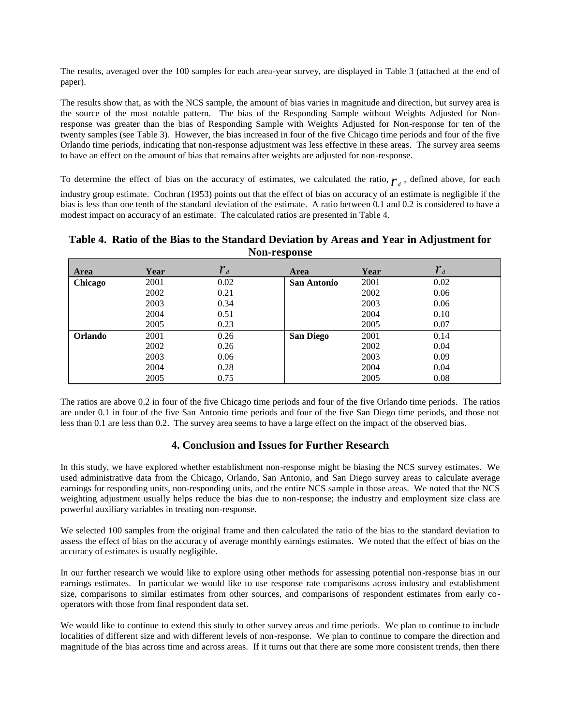The results, averaged over the 100 samples for each area-year survey, are displayed in Table 3 (attached at the end of paper).

The results show that, as with the NCS sample, the amount of bias varies in magnitude and direction, but survey area is the source of the most notable pattern. The bias of the Responding Sample without Weights Adjusted for Nonresponse was greater than the bias of Responding Sample with Weights Adjusted for Non-response for ten of the twenty samples (see Table 3). However, the bias increased in four of the five Chicago time periods and four of the five Orlando time periods, indicating that non-response adjustment was less effective in these areas. The survey area seems to have an effect on the amount of bias that remains after weights are adjusted for non-response.

To determine the effect of bias on the accuracy of estimates, we calculated the ratio,  $r_d$ , defined above, for each

industry group estimate. Cochran (1953) points out that the effect of bias on accuracy of an estimate is negligible if the bias is less than one tenth of the standard deviation of the estimate. A ratio between 0.1 and 0.2 is considered to have a modest impact on accuracy of an estimate. The calculated ratios are presented in Table 4.

#### **Table 4. Ratio of the Bias to the Standard Deviation by Areas and Year in Adjustment for Non-response**

| Area    | Year | $r_{d}$ | Area             | Year | $r_{d}$ |
|---------|------|---------|------------------|------|---------|
| Chicago | 2001 | 0.02    | San Antonio      | 2001 | 0.02    |
|         | 2002 | 0.21    |                  | 2002 | 0.06    |
|         | 2003 | 0.34    |                  | 2003 | 0.06    |
|         | 2004 | 0.51    |                  | 2004 | 0.10    |
|         | 2005 | 0.23    |                  | 2005 | 0.07    |
| Orlando | 2001 | 0.26    | <b>San Diego</b> | 2001 | 0.14    |
|         | 2002 | 0.26    |                  | 2002 | 0.04    |
|         | 2003 | 0.06    |                  | 2003 | 0.09    |
|         | 2004 | 0.28    |                  | 2004 | 0.04    |
|         | 2005 | 0.75    |                  | 2005 | 0.08    |

The ratios are above 0.2 in four of the five Chicago time periods and four of the five Orlando time periods. The ratios are under 0.1 in four of the five San Antonio time periods and four of the five San Diego time periods, and those not less than 0.1 are less than 0.2. The survey area seems to have a large effect on the impact of the observed bias.

#### **4. Conclusion and Issues for Further Research**

In this study, we have explored whether establishment non-response might be biasing the NCS survey estimates. We used administrative data from the Chicago, Orlando, San Antonio, and San Diego survey areas to calculate average earnings for responding units, non-responding units, and the entire NCS sample in those areas. We noted that the NCS weighting adjustment usually helps reduce the bias due to non-response; the industry and employment size class are powerful auxiliary variables in treating non-response.

We selected 100 samples from the original frame and then calculated the ratio of the bias to the standard deviation to assess the effect of bias on the accuracy of average monthly earnings estimates. We noted that the effect of bias on the accuracy of estimates is usually negligible.

In our further research we would like to explore using other methods for assessing potential non-response bias in our earnings estimates. In particular we would like to use response rate comparisons across industry and establishment size, comparisons to similar estimates from other sources, and comparisons of respondent estimates from early cooperators with those from final respondent data set.

We would like to continue to extend this study to other survey areas and time periods. We plan to continue to include localities of different size and with different levels of non-response. We plan to continue to compare the direction and magnitude of the bias across time and across areas. If it turns out that there are some more consistent trends, then there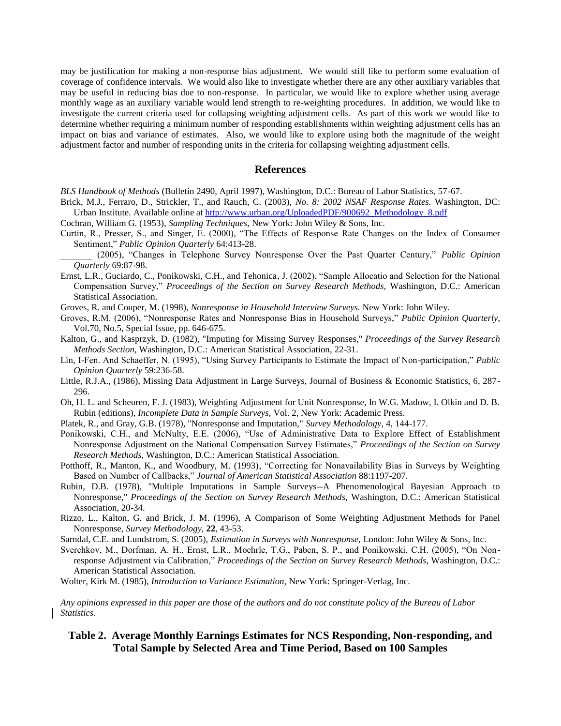may be justification for making a non-response bias adjustment. We would still like to perform some evaluation of coverage of confidence intervals. We would also like to investigate whether there are any other auxiliary variables that may be useful in reducing bias due to non-response. In particular, we would like to explore whether using average monthly wage as an auxiliary variable would lend strength to re-weighting procedures. In addition, we would like to investigate the current criteria used for collapsing weighting adjustment cells. As part of this work we would like to determine whether requiring a minimum number of responding establishments within weighting adjustment cells has an impact on bias and variance of estimates. Also, we would like to explore using both the magnitude of the weight adjustment factor and number of responding units in the criteria for collapsing weighting adjustment cells.

#### **References**

*BLS Handbook of Methods* (Bulletin 2490, April 1997), Washington, D.C.: Bureau of Labor Statistics, 57-67.

- Brick, M.J., Ferraro, D., Strickler, T., and Rauch, C. (2003), *No. 8: 2002 NSAF Response Rates.* Washington, DC: Urban Institute. Available online at http://www.urban.org/UploadedPDF/900692\_Methodology\_8.pdf
- Cochran, William G. (1953), *Sampling Techniques,* New York: John Wiley & Sons, Inc.
- Curtin, R., Presser, S., and Singer, E. (2000), "The Effects of Response Rate Changes on the Index of Consumer Sentiment," *Public Opinion Quarterly* 64:413-28.

Ernst, L.R., Guciardo, C., Ponikowski, C.H., and Tehonica, J. (2002), "Sample Allocatio and Selection for the National Compensation Survey," *Proceedings of the Section on Survey Research Methods,* Washington, D.C.: American Statistical Association.

Groves, R. and Couper, M. (1998), *Nonresponse in Household Interview Surveys.* New York: John Wiley.

- Groves, R.M. (2006), "Nonresponse Rates and Nonresponse Bias in Household Surveys," *Public Opinion Quarterly*, Vol.70, No.5, Special Issue, pp. 646-675.
- Kalton, G., and Kasprzyk, D. (1982), "Imputing for Missing Survey Responses," *Proceedings of the Survey Research Methods Section,* Washington, D.C.: American Statistical Association, 22-31.
- Lin, I-Fen. And Schaeffer, N. (1995), "Using Survey Participants to Estimate the Impact of Non-participation," *Public Opinion Quarterly* 59:236-58.
- Little, R.J.A., (1986), Missing Data Adjustment in Large Surveys, Journal of Business & Economic Statistics, 6, 287- 296.
- Oh, H. L. and Scheuren, F. J. (1983), Weighting Adjustment for Unit Nonresponse, In W.G. Madow, I. Olkin and D. B. Rubin (editions), *Incomplete Data in Sample Surveys,* Vol. 2, New York: Academic Press.
- Platek, R., and Gray, G.B. (1978), "Nonresponse and Imputation," *Survey Methodology,* 4, 144-177.
- Ponikowski, C.H., and McNulty, E.E. (2006), "Use of Administrative Data to Explore Effect of Establishment Nonresponse Adjustment on the National Compensation Survey Estimates," *Proceedings of the Section on Survey Research Methods,* Washington, D.C.: American Statistical Association.
- Potthoff, R., Manton, K., and Woodbury, M. (1993), "Correcting for Nonavailability Bias in Surveys by Weighting Based on Number of Callbacks," *Journal of American Statistical Association* 88:1197-207.
- Rubin, D.B. (1978), "Multiple Imputations in Sample Surveys--A Phenomenological Bayesian Approach to Nonresponse," *Proceedings of the Section on Survey Research Methods,* Washington, D.C.: American Statistical Association, 20-34.
- Rizzo, L., Kalton, G. and Brick, J. M. (1996), A Comparison of Some Weighting Adjustment Methods for Panel Nonresponse, *Survey Methodology,* **22**, 43-53.
- Sarndal, C.E. and Lundstrom, S. (2005), *Estimation in Surveys with Nonresponse,* London: John Wiley & Sons, Inc.
- Sverchkov, M., Dorfman, A. H., Ernst, L.R., Moehrle, T.G., Paben, S. P., and Ponikowski, C.H. (2005), "On Nonresponse Adjustment via Calibration," *Proceedings of the Section on Survey Research Methods*, Washington, D.C.: American Statistical Association.
- Wolter, Kirk M. (1985), *Introduction to Variance Estimation,* New York: Springer-Verlag, Inc.

*Any opinions expressed in this paper are those of the authors and do not constitute policy of the Bureau of Labor Statistics.*

## **Table 2. Average Monthly Earnings Estimates for NCS Responding, Non-responding, and Total Sample by Selected Area and Time Period, Based on 100 Samples**

\_\_\_\_\_\_\_ (2005), "Changes in Telephone Survey Nonresponse Over the Past Quarter Century," *Public Opinion Quarterly* 69:87-98.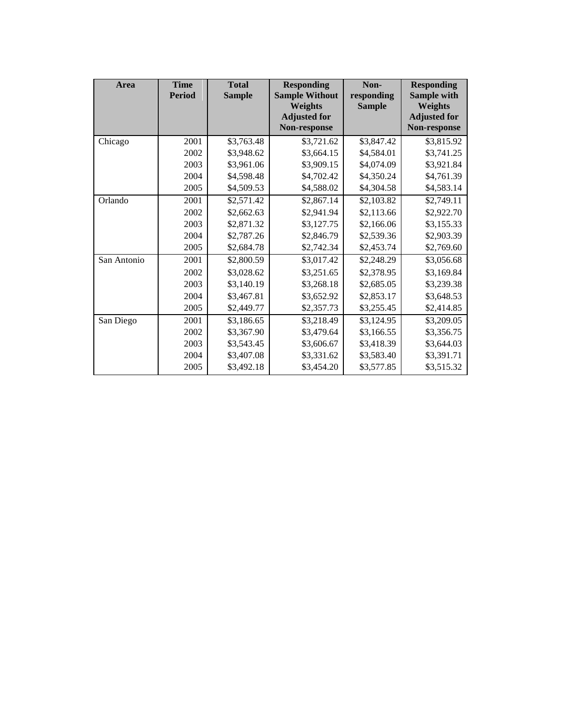| Area        | <b>Time</b><br><b>Period</b> | <b>Total</b><br><b>Sample</b> | <b>Responding</b><br><b>Sample Without</b><br><b>Weights</b> | Non-<br>responding<br><b>Sample</b> | <b>Responding</b><br><b>Sample with</b><br><b>Weights</b> |
|-------------|------------------------------|-------------------------------|--------------------------------------------------------------|-------------------------------------|-----------------------------------------------------------|
|             |                              |                               | <b>Adjusted for</b><br>Non-response                          |                                     | <b>Adjusted for</b><br>Non-response                       |
| Chicago     | 2001                         | \$3,763.48                    | \$3,721.62                                                   | \$3,847.42                          | \$3,815.92                                                |
|             | 2002                         | \$3,948.62                    | \$3,664.15                                                   | \$4,584.01                          | \$3,741.25                                                |
|             | 2003                         | \$3,961.06                    | \$3,909.15                                                   | \$4,074.09                          | \$3,921.84                                                |
|             | 2004                         | \$4,598.48                    | \$4,702.42                                                   | \$4,350.24                          | \$4,761.39                                                |
|             | 2005                         | \$4,509.53                    | \$4,588.02                                                   | \$4,304.58                          | \$4,583.14                                                |
| Orlando     | 2001                         | \$2,571.42                    | \$2,867.14                                                   | \$2,103.82                          | \$2,749.11                                                |
|             | 2002                         | \$2,662.63                    | \$2,941.94                                                   | \$2,113.66                          | \$2,922.70                                                |
|             | 2003                         | \$2,871.32                    | \$3,127.75                                                   | \$2,166.06                          | \$3,155.33                                                |
|             | 2004                         | \$2,787.26                    | \$2,846.79                                                   | \$2,539.36                          | \$2,903.39                                                |
|             | 2005                         | \$2,684.78                    | \$2,742.34                                                   | \$2,453.74                          | \$2,769.60                                                |
| San Antonio | 2001                         | \$2,800.59                    | \$3,017.42                                                   | \$2,248.29                          | \$3,056.68                                                |
|             | 2002                         | \$3,028.62                    | \$3,251.65                                                   | \$2,378.95                          | \$3,169.84                                                |
|             | 2003                         | \$3,140.19                    | \$3,268.18                                                   | \$2,685.05                          | \$3,239.38                                                |
|             | 2004                         | \$3,467.81                    | \$3,652.92                                                   | \$2,853.17                          | \$3,648.53                                                |
|             | 2005                         | \$2,449.77                    | \$2,357.73                                                   | \$3,255.45                          | \$2,414.85                                                |
| San Diego   | 2001                         | \$3,186.65                    | \$3,218.49                                                   | \$3,124.95                          | \$3,209.05                                                |
|             | 2002                         | \$3,367.90                    | \$3,479.64                                                   | \$3,166.55                          | \$3,356.75                                                |
|             | 2003                         | \$3,543.45                    | \$3,606.67                                                   | \$3,418.39                          | \$3,644.03                                                |
|             | 2004                         | \$3,407.08                    | \$3,331.62                                                   | \$3,583.40                          | \$3,391.71                                                |
|             | 2005                         | \$3,492.18                    | \$3,454.20                                                   | \$3,577.85                          | \$3,515.32                                                |